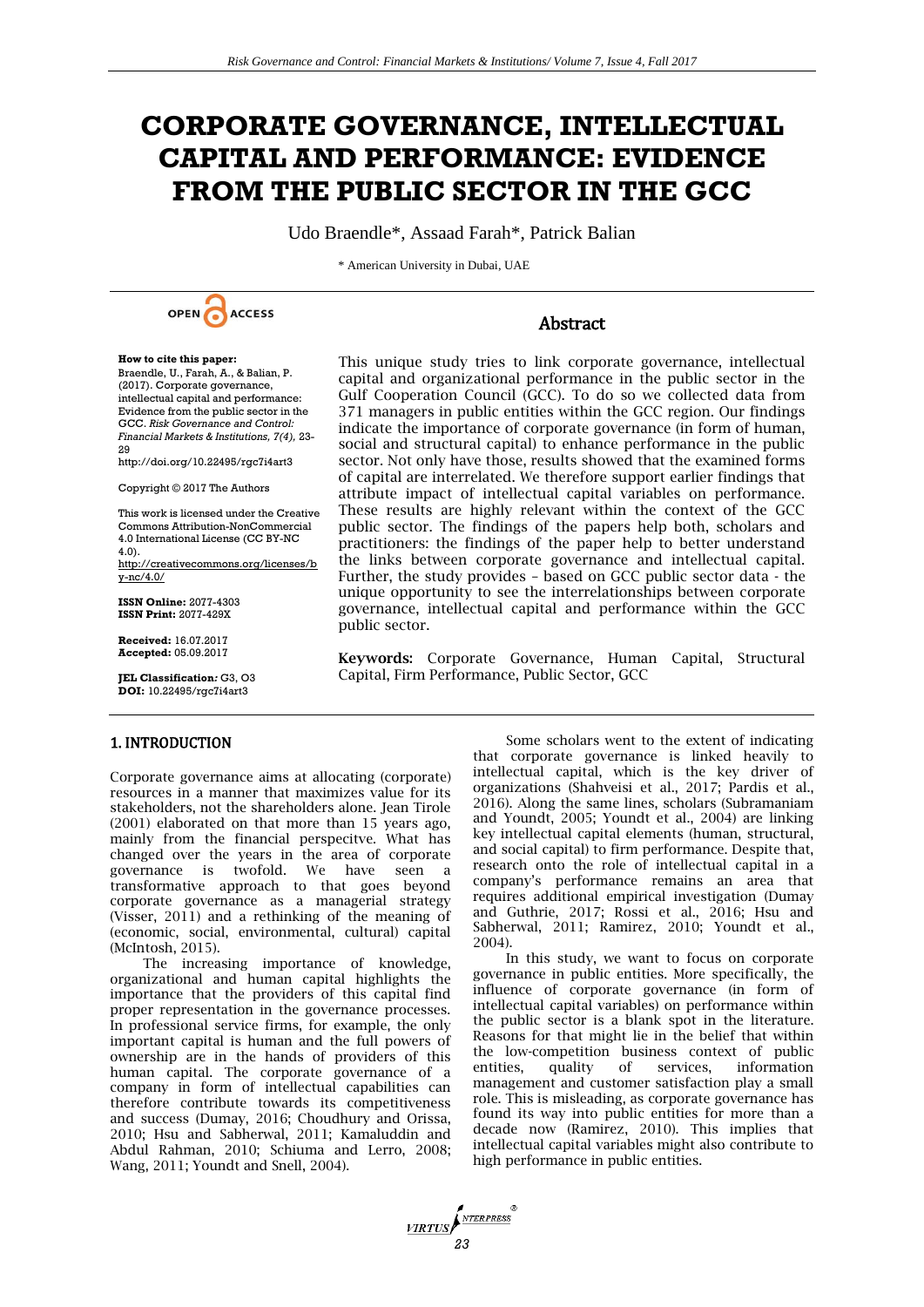# **CORPORATE GOVERNANCE, INTELLECTUAL CAPITAL AND PERFORMANCE: EVIDENCE FROM THE PUBLIC SECTOR IN THE GCC**

Udo Braendle\*, Assaad Farah\*, Patrick Balian

\* American University in Dubai, UAE



# **Abstract**

This unique study tries to link corporate governance, intellectual

**How to cite this paper:** 

Braendle, U., Farah, A., & Balian, P. (2017). Corporate governance, intellectual capital and performance: Evidence from the public sector in the GCC. *Risk Governance and Control: Financial Markets & Institutions, 7(4),* 23- 29

http://doi.org/10.22495/rgc7i4art3

Copyright © 2017 The Authors

This work is licensed under the Creative Commons Attribution-NonCommercial 4.0 International License (CC BY-NC 4.0).

[http://creativecommons.org/licenses/b](http://creativecommons.org/licenses/by-nc/4.0/) [y-nc/4.0/](http://creativecommons.org/licenses/by-nc/4.0/)

**ISSN Online:** 2077-4303 **ISSN Print:** 2077-429X

**Received:** 16.07.2017 **Accepted:** 05.09.2017

**JEL Classification***:* G3, O3 **DOI:** 10.22495/rgc7i4art3

capital and organizational performance in the public sector in the Gulf Cooperation Council (GCC). To do so we collected data from 371 managers in public entities within the GCC region. Our findings indicate the importance of corporate governance (in form of human, social and structural capital) to enhance performance in the public sector. Not only have those, results showed that the examined forms of capital are interrelated. We therefore support earlier findings that attribute impact of intellectual capital variables on performance. These results are highly relevant within the context of the GCC public sector. The findings of the papers help both, scholars and practitioners: the findings of the paper help to better understand the links between corporate governance and intellectual capital. Further, the study provides – based on GCC public sector data - the unique opportunity to see the interrelationships between corporate governance, intellectual capital and performance within the GCC public sector.

**Keywords:** Corporate Governance, Human Capital, Structural Capital, Firm Performance, Public Sector, GCC

# 1. INTRODUCTION

Corporate governance aims at allocating (corporate) resources in a manner that maximizes value for its stakeholders, not the shareholders alone. Jean Tirole (2001) elaborated on that more than 15 years ago, mainly from the financial perspecitve. What has changed over the years in the area of corporate governance is twofold. We have seen a transformative approach to that goes beyond corporate governance as a managerial strategy (Visser, 2011) and a rethinking of the meaning of (economic, social, environmental, cultural) capital (McIntosh, 2015).

The increasing importance of knowledge, organizational and human capital highlights the importance that the providers of this capital find proper representation in the governance processes. In professional service firms, for example, the only important capital is human and the full powers of ownership are in the hands of providers of this human capital. The corporate governance of a company in form of intellectual capabilities can therefore contribute towards its competitiveness and success (Dumay, 2016; Choudhury and Orissa, 2010; Hsu and Sabherwal, 2011; Kamaluddin and Abdul Rahman, 2010; Schiuma and Lerro, 2008; Wang, 2011; Youndt and Snell, 2004).

Some scholars went to the extent of indicating that corporate governance is linked heavily to intellectual capital, which is the key driver of organizations (Shahveisi et al., 2017; Pardis et al., 2016). Along the same lines, scholars (Subramaniam and Youndt, 2005; Youndt et al., 2004) are linking key intellectual capital elements (human, structural, and social capital) to firm performance. Despite that, research onto the role of intellectual capital in a company's performance remains an area that requires additional empirical investigation (Dumay and Guthrie, 2017; Rossi et al., 2016; Hsu and Sabherwal, 2011; Ramirez, 2010; Youndt et al., 2004).

In this study, we want to focus on corporate governance in public entities. More specifically, the influence of corporate governance (in form of intellectual capital variables) on performance within the public sector is a blank spot in the literature. Reasons for that might lie in the belief that within the low-competition business context of public entities, quality of services, information management and customer satisfaction play a small role. This is misleading, as corporate governance has found its way into public entities for more than a decade now (Ramirez, 2010). This implies that intellectual capital variables might also contribute to high performance in public entities.

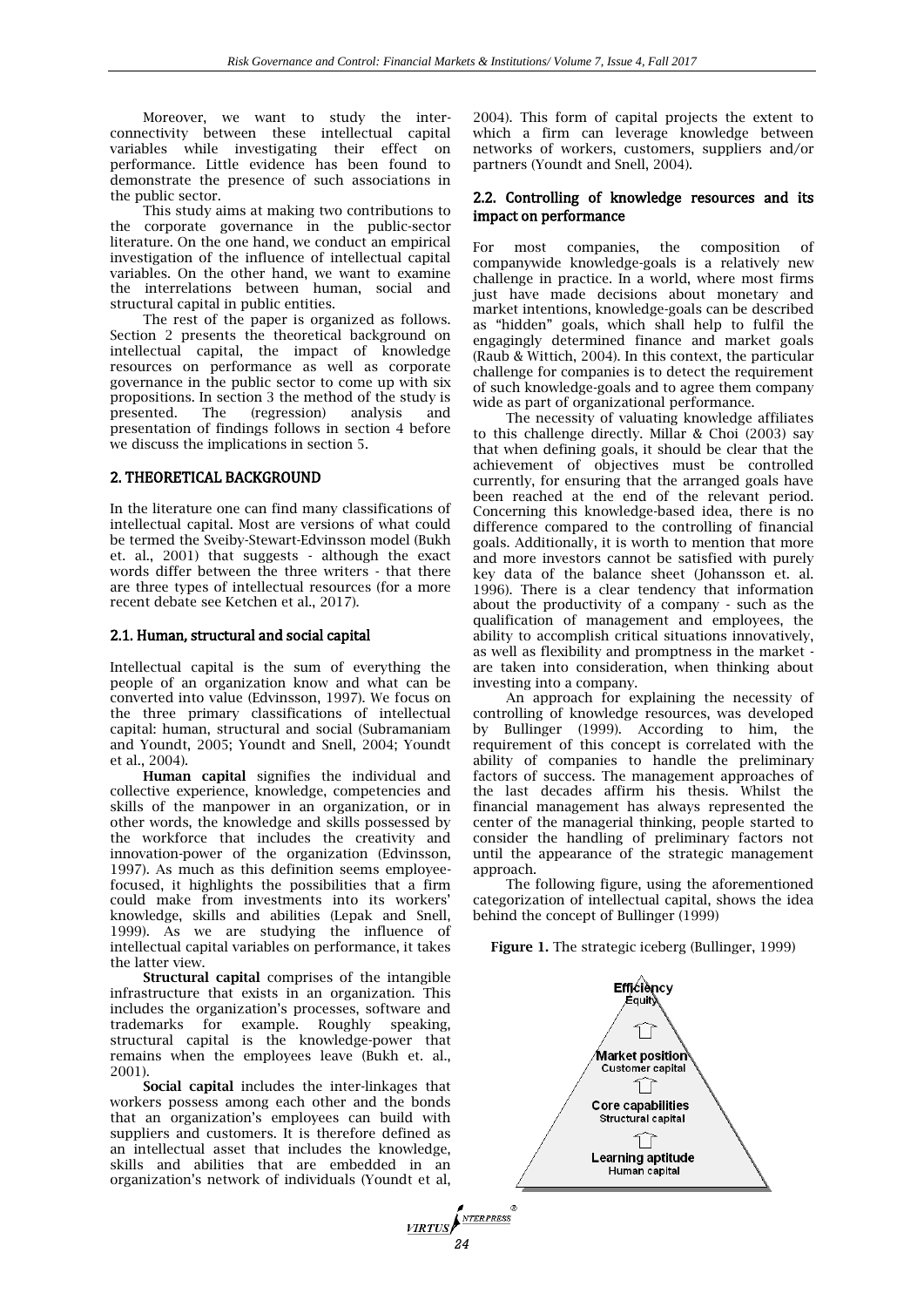Moreover, we want to study the interconnectivity between these intellectual capital variables while investigating their effect on performance. Little evidence has been found to demonstrate the presence of such associations in the public sector.

This study aims at making two contributions to the corporate governance in the public-sector literature. On the one hand, we conduct an empirical investigation of the influence of intellectual capital variables. On the other hand, we want to examine the interrelations between human, social and structural capital in public entities.

The rest of the paper is organized as follows. Section 2 presents the theoretical background on intellectual capital, the impact of knowledge resources on performance as well as corporate governance in the public sector to come up with six propositions. In section 3 the method of the study is presented. The (regression) analysis and presentation of findings follows in section 4 before we discuss the implications in section 5.

## 2. THEORETICAL BACKGROUND

In the literature one can find many classifications of intellectual capital. Most are versions of what could be termed the Sveiby-Stewart-Edvinsson model (Bukh et. al., 2001) that suggests - although the exact words differ between the three writers - that there are three types of intellectual resources (for a more recent debate see Ketchen et al., 2017).

#### 2.1. Human, structural and social capital

Intellectual capital is the sum of everything the people of an organization know and what can be converted into value (Edvinsson, 1997). We focus on the three primary classifications of intellectual capital: human, structural and social (Subramaniam and Youndt, 2005; Youndt and Snell, 2004; Youndt et al., 2004).

**Human capital** signifies the individual and collective experience, knowledge, competencies and skills of the manpower in an organization, or in other words, the knowledge and skills possessed by the workforce that includes the creativity and innovation-power of the organization (Edvinsson, 1997). As much as this definition seems employeefocused, it highlights the possibilities that a firm could make from investments into its workers' knowledge, skills and abilities (Lepak and Snell, 1999). As we are studying the influence of intellectual capital variables on performance, it takes the latter view.

**Structural capital** comprises of the intangible infrastructure that exists in an organization. This includes the organization's processes, software and trademarks for example. Roughly speaking, structural capital is the knowledge-power that remains when the employees leave (Bukh et. al., 2001).

**Social capital** includes the inter-linkages that workers possess among each other and the bonds that an organization's employees can build with suppliers and customers. It is therefore defined as an intellectual asset that includes the knowledge, skills and abilities that are embedded in an organization's network of individuals (Youndt et al,

2004). This form of capital projects the extent to which a firm can leverage knowledge between networks of workers, customers, suppliers and/or partners (Youndt and Snell, 2004).

#### 2.2. Controlling of knowledge resources and its impact on performance

For most companies, the composition of companywide knowledge-goals is a relatively new challenge in practice. In a world, where most firms just have made decisions about monetary and market intentions, knowledge-goals can be described as "hidden" goals, which shall help to fulfil the engagingly determined finance and market goals (Raub & Wittich, 2004). In this context, the particular challenge for companies is to detect the requirement of such knowledge-goals and to agree them company wide as part of organizational performance.

The necessity of valuating knowledge affiliates to this challenge directly. Millar & Choi (2003) say that when defining goals, it should be clear that the achievement of objectives must be controlled currently, for ensuring that the arranged goals have been reached at the end of the relevant period. Concerning this knowledge-based idea, there is no difference compared to the controlling of financial goals. Additionally, it is worth to mention that more and more investors cannot be satisfied with purely key data of the balance sheet (Johansson et. al. 1996). There is a clear tendency that information about the productivity of a company - such as the qualification of management and employees, the ability to accomplish critical situations innovatively, as well as flexibility and promptness in the market are taken into consideration, when thinking about investing into a company.

An approach for explaining the necessity of controlling of knowledge resources, was developed by Bullinger (1999). According to him, the requirement of this concept is correlated with the ability of companies to handle the preliminary factors of success. The management approaches of the last decades affirm his thesis. Whilst the financial management has always represented the center of the managerial thinking, people started to consider the handling of preliminary factors not until the appearance of the strategic management approach.

The following figure, using the aforementioned categorization of intellectual capital, shows the idea behind the concept of Bullinger (1999)

**Figure 1.** The strategic iceberg (Bullinger, 1999)

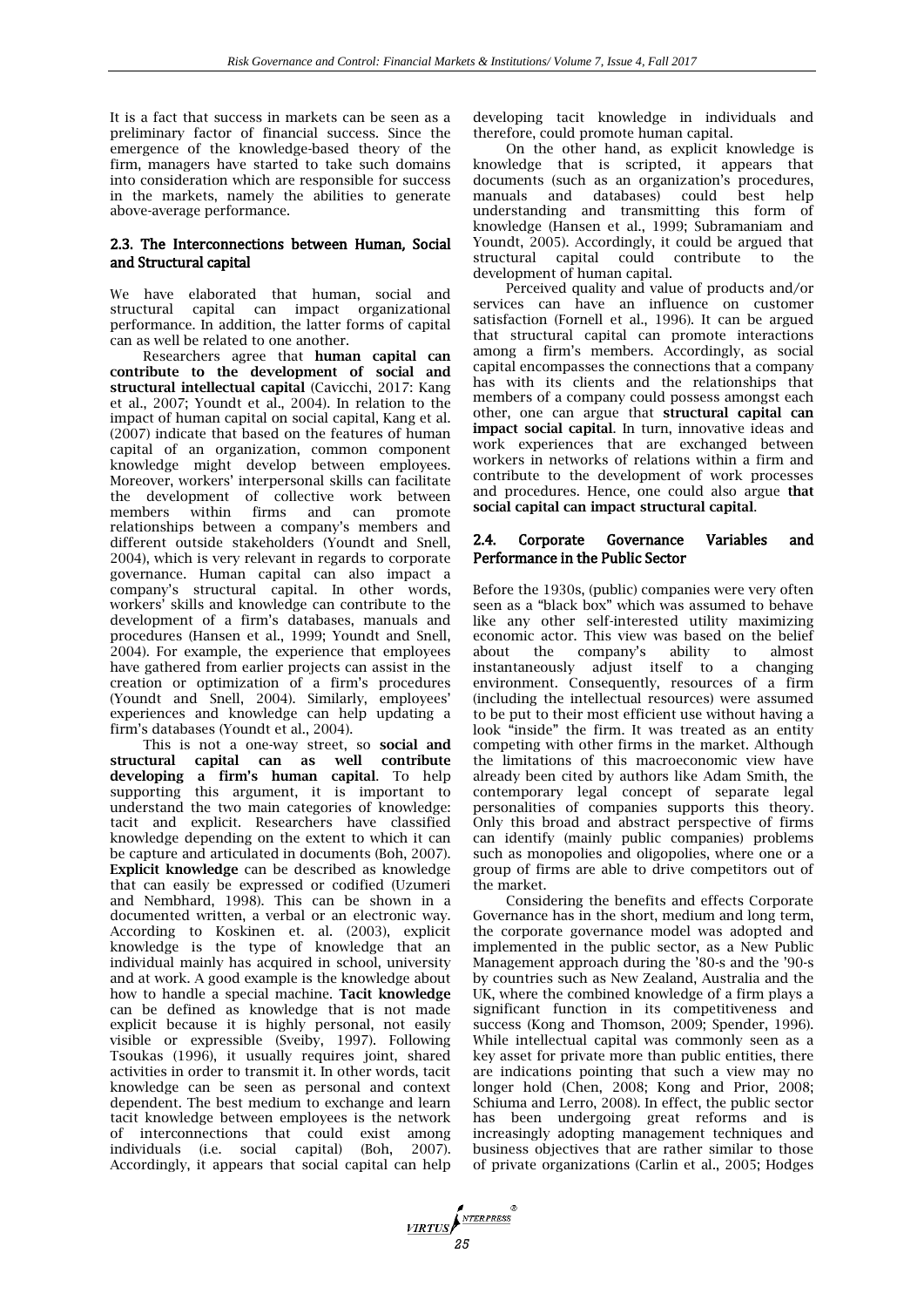It is a fact that success in markets can be seen as a preliminary factor of financial success. Since the emergence of the knowledge-based theory of the firm, managers have started to take such domains into consideration which are responsible for success in the markets, namely the abilities to generate above-average performance.

#### 2.3. The Interconnections between Human, Social and Structural capital

We have elaborated that human, social and structural capital can impact organizational performance. In addition, the latter forms of capital can as well be related to one another.

Researchers agree that **human capital can contribute to the development of social and structural intellectual capital** (Cavicchi, 2017: Kang et al., 2007; Youndt et al., 2004). In relation to the impact of human capital on social capital, Kang et al. (2007) indicate that based on the features of human capital of an organization, common component knowledge might develop between employees. Moreover, workers' interpersonal skills can facilitate the development of collective work between members within firms and can promote relationships between a company's members and different outside stakeholders (Youndt and Snell, 2004), which is very relevant in regards to corporate governance. Human capital can also impact a company's structural capital. In other words, workers' skills and knowledge can contribute to the development of a firm's databases, manuals and procedures (Hansen et al., 1999; Youndt and Snell, 2004). For example, the experience that employees have gathered from earlier projects can assist in the creation or optimization of a firm's procedures (Youndt and Snell, 2004). Similarly, employees' experiences and knowledge can help updating a firm's databases (Youndt et al., 2004).

This is not a one-way street, so **social and structural capital can as well contribute developing a firm's human capital**. To help supporting this argument, it is important to understand the two main categories of knowledge: tacit and explicit. Researchers have classified knowledge depending on the extent to which it can be capture and articulated in documents (Boh, 2007). **Explicit knowledge** can be described as knowledge that can easily be expressed or codified (Uzumeri and Nembhard, 1998). This can be shown in a documented written, a verbal or an electronic way. According to Koskinen et. al. (2003), explicit knowledge is the type of knowledge that an individual mainly has acquired in school, university and at work. A good example is the knowledge about how to handle a special machine. **Tacit knowledge** can be defined as knowledge that is not made explicit because it is highly personal, not easily visible or expressible (Sveiby, 1997). Following Tsoukas (1996), it usually requires joint, shared activities in order to transmit it. In other words, tacit knowledge can be seen as personal and context dependent. The best medium to exchange and learn tacit knowledge between employees is the network of interconnections that could exist among individuals (i.e. social capital) (Boh, 2007). Accordingly, it appears that social capital can help

developing tacit knowledge in individuals and therefore, could promote human capital.

On the other hand, as explicit knowledge is knowledge that is scripted, it appears that documents (such as an organization's procedures,<br>manuals and databases) could best help manuals and databases) could best understanding and transmitting this form of knowledge (Hansen et al., 1999; Subramaniam and Youndt, 2005). Accordingly, it could be argued that structural capital could contribute to the development of human capital.

Perceived quality and value of products and/or services can have an influence on customer satisfaction (Fornell et al., 1996). It can be argued that structural capital can promote interactions among a firm's members. Accordingly, as social capital encompasses the connections that a company has with its clients and the relationships that members of a company could possess amongst each other, one can argue that **structural capital can impact social capital**. In turn, innovative ideas and work experiences that are exchanged between workers in networks of relations within a firm and contribute to the development of work processes and procedures. Hence, one could also argue **that social capital can impact structural capital**.

#### 2.4. Corporate Governance Variables and Performance in the Public Sector

Before the 1930s, (public) companies were very often seen as a "black box" which was assumed to behave like any other self-interested utility maximizing economic actor. This view was based on the belief about the company's ability to almost instantaneously adjust itself to a changing environment. Consequently, resources of a firm (including the intellectual resources) were assumed to be put to their most efficient use without having a look "inside" the firm. It was treated as an entity competing with other firms in the market. Although the limitations of this macroeconomic view have already been cited by authors like Adam Smith, the contemporary legal concept of separate legal personalities of companies supports this theory. Only this broad and abstract perspective of firms can identify (mainly public companies) problems such as monopolies and oligopolies, where one or a group of firms are able to drive competitors out of the market.

Considering the benefits and effects Corporate Governance has in the short, medium and long term, the corporate governance model was adopted and implemented in the public sector, as a New Public Management approach during the '80-s and the '90-s by countries such as New Zealand, Australia and the UK, where the combined knowledge of a firm plays a significant function in its competitiveness and success (Kong and Thomson, 2009; Spender, 1996). While intellectual capital was commonly seen as a key asset for private more than public entities, there are indications pointing that such a view may no longer hold (Chen, 2008; Kong and Prior, 2008; Schiuma and Lerro, 2008). In effect, the public sector has been undergoing great reforms and is increasingly adopting management techniques and business objectives that are rather similar to those of private organizations (Carlin et al., 2005; Hodges

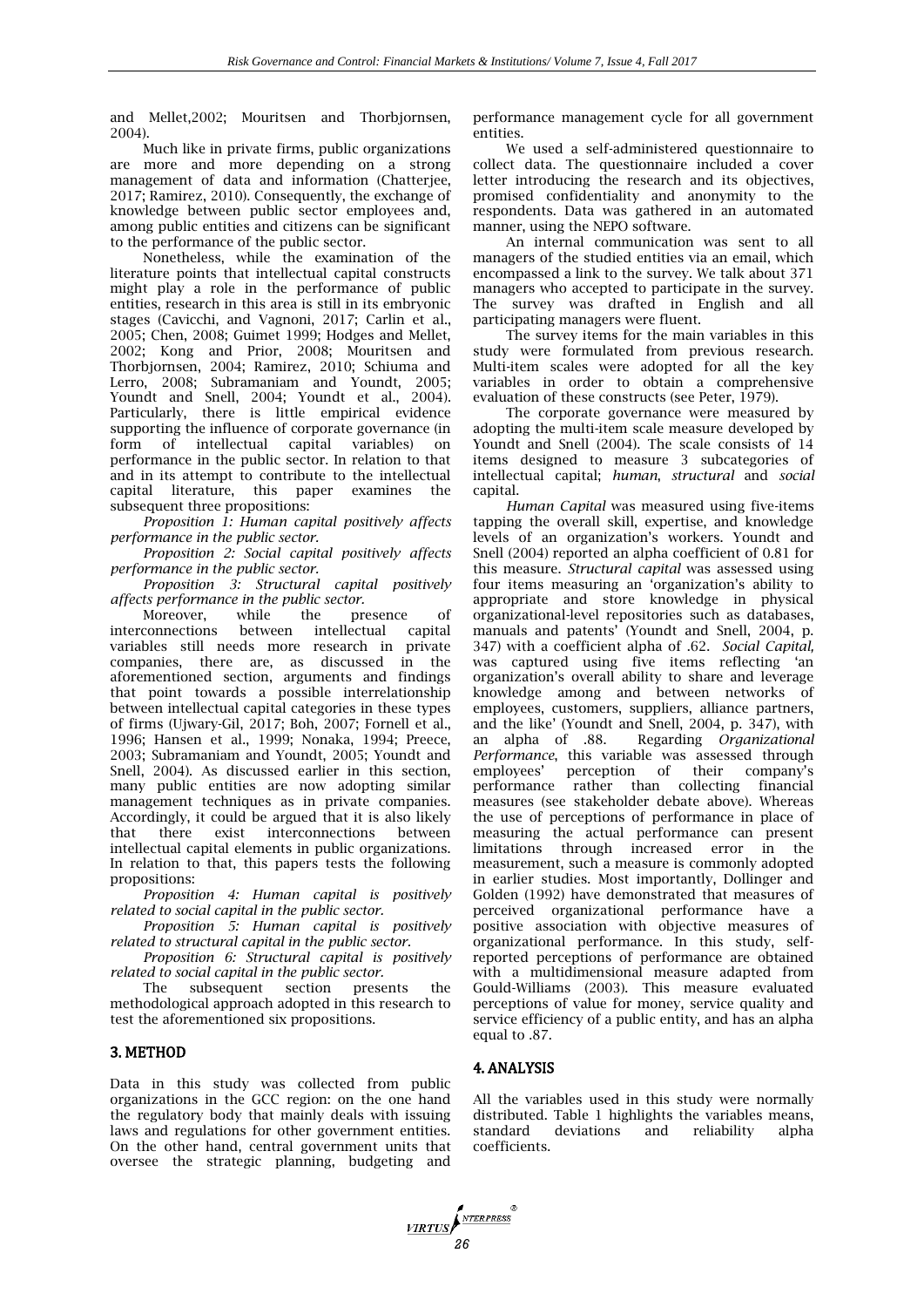and Mellet,2002; Mouritsen and Thorbjornsen, 2004).

Much like in private firms, public organizations are more and more depending on a strong management of data and information (Chatterjee, 2017; Ramirez, 2010). Consequently, the exchange of knowledge between public sector employees and, among public entities and citizens can be significant to the performance of the public sector.

Nonetheless, while the examination of the literature points that intellectual capital constructs might play a role in the performance of public entities, research in this area is still in its embryonic stages (Cavicchi, and Vagnoni, 2017; Carlin et al., 2005; Chen, 2008; Guimet 1999; Hodges and Mellet, 2002; Kong and Prior, 2008; Mouritsen and Thorbjornsen, 2004; Ramirez, 2010; Schiuma and Lerro, 2008; Subramaniam and Youndt, 2005; Youndt and Snell, 2004; Youndt et al., 2004). Particularly, there is little empirical evidence supporting the influence of corporate governance (in form of intellectual capital variables) on performance in the public sector. In relation to that and in its attempt to contribute to the intellectual capital literature, this paper examines the subsequent three propositions:

*Proposition 1: Human capital positively affects performance in the public sector.*

*Proposition 2: Social capital positively affects performance in the public sector.*

*Proposition 3: Structural capital positively affects performance in the public sector.*

Moreover, while the presence of interconnections between intellectual capital variables still needs more research in private companies, there are, as discussed in the aforementioned section, arguments and findings that point towards a possible interrelationship between intellectual capital categories in these types of firms (Ujwary-Gil, 2017; Boh, 2007; Fornell et al., 1996; Hansen et al., 1999; Nonaka, 1994; Preece, 2003; Subramaniam and Youndt, 2005; Youndt and Snell, 2004). As discussed earlier in this section, many public entities are now adopting similar management techniques as in private companies. Accordingly, it could be argued that it is also likely that there exist interconnections between intellectual capital elements in public organizations. In relation to that, this papers tests the following propositions:

*Proposition 4: Human capital is positively related to social capital in the public sector.*

*Proposition 5: Human capital is positively related to structural capital in the public sector.*

*Proposition 6: Structural capital is positively related to social capital in the public sector.*

The subsequent section presents the methodological approach adopted in this research to test the aforementioned six propositions.

## 3. METHOD

Data in this study was collected from public organizations in the GCC region: on the one hand the regulatory body that mainly deals with issuing laws and regulations for other government entities. On the other hand, central government units that oversee the strategic planning, budgeting and

performance management cycle for all government entities.

We used a self-administered questionnaire to collect data. The questionnaire included a cover letter introducing the research and its objectives, promised confidentiality and anonymity to the respondents. Data was gathered in an automated manner, using the NEPO software.

An internal communication was sent to all managers of the studied entities via an email, which encompassed a link to the survey. We talk about 371 managers who accepted to participate in the survey. The survey was drafted in English and all participating managers were fluent.

The survey items for the main variables in this study were formulated from previous research. Multi-item scales were adopted for all the key variables in order to obtain a comprehensive evaluation of these constructs (see Peter, 1979).

The corporate governance were measured by adopting the multi-item scale measure developed by Youndt and Snell (2004). The scale consists of 14 items designed to measure 3 subcategories of intellectual capital; *human*, *structural* and *social* capital.

*Human Capital* was measured using five-items tapping the overall skill, expertise, and knowledge levels of an organization's workers. Youndt and Snell (2004) reported an alpha coefficient of 0.81 for this measure. *Structural capital* was assessed using four items measuring an 'organization's ability to appropriate and store knowledge in physical organizational-level repositories such as databases, manuals and patents' (Youndt and Snell, 2004, p. 347) with a coefficient alpha of .62. *Social Capital,*  was captured using five items reflecting 'an organization's overall ability to share and leverage knowledge among and between networks of employees, customers, suppliers, alliance partners, and the like' (Youndt and Snell, 2004, p. 347), with an alpha of .88. Regarding *Organizational Performance*, this variable was assessed through employees' perception of their company's performance rather than collecting financial measures (see stakeholder debate above). Whereas the use of perceptions of performance in place of measuring the actual performance can present limitations through increased error in the measurement, such a measure is commonly adopted in earlier studies. Most importantly, Dollinger and Golden (1992) have demonstrated that measures of perceived organizational performance have a positive association with objective measures of organizational performance. In this study, selfreported perceptions of performance are obtained with a multidimensional measure adapted from Gould-Williams (2003). This measure evaluated perceptions of value for money, service quality and service efficiency of a public entity, and has an alpha equal to .87.

#### 4. ANALYSIS

All the variables used in this study were normally distributed. Table 1 highlights the variables means, standard deviations and reliability alpha coefficients.

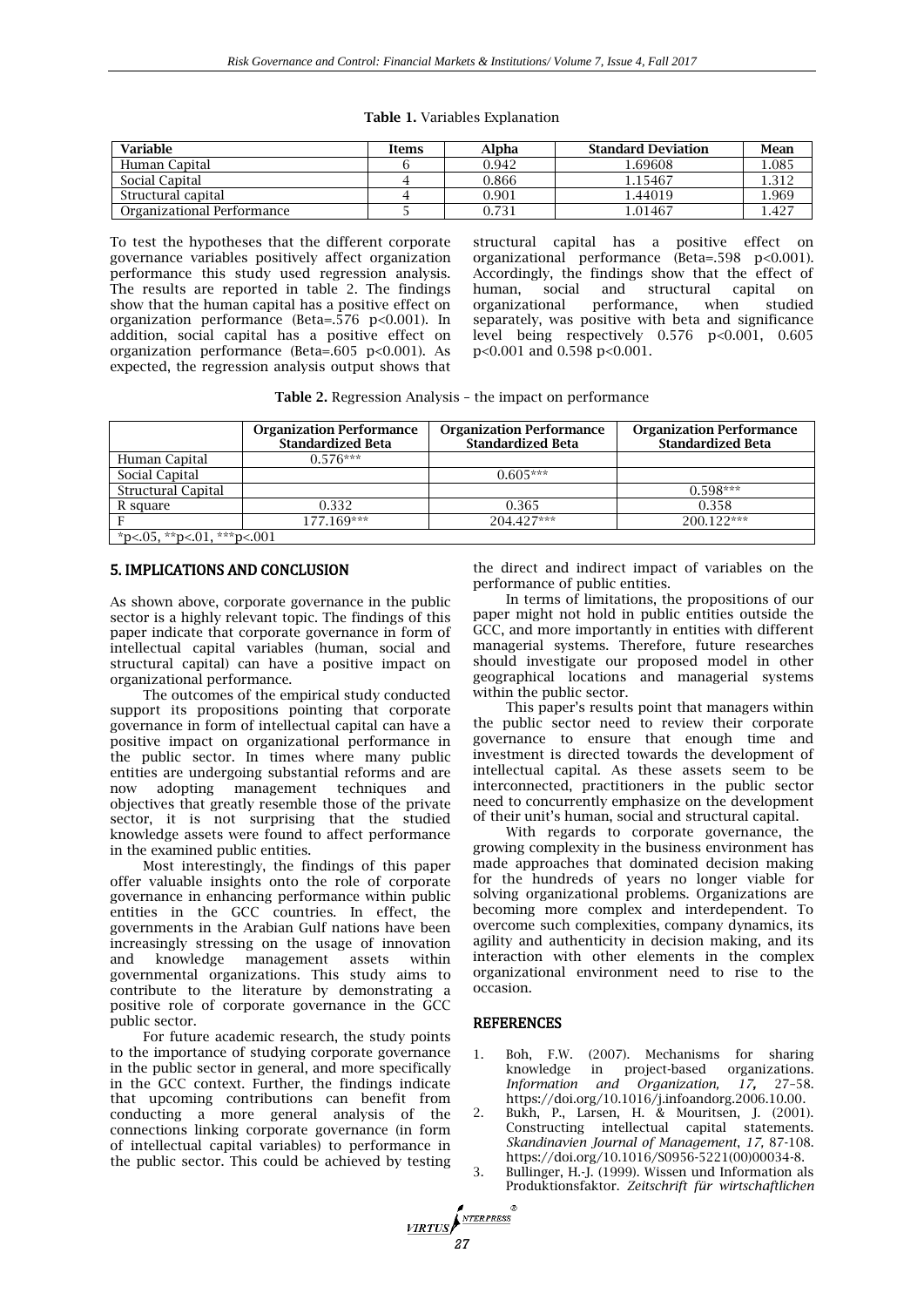| Table 1. Variables Explanation |  |
|--------------------------------|--|
|--------------------------------|--|

| <b>Variable</b>            | Items | Alpha | <b>Standard Deviation</b> | Mean  |
|----------------------------|-------|-------|---------------------------|-------|
| Human Capital              |       | 0.942 | 1.69608                   | 1.085 |
| Social Capital             |       | 0.866 | 1.15467                   | 1.312 |
| Structural capital         |       | 0.901 | .44019                    | .969  |
| Organizational Performance |       | 0.731 | 1.01467                   | . 427 |

To test the hypotheses that the different corporate governance variables positively affect organization performance this study used regression analysis. The results are reported in table 2. The findings show that the human capital has a positive effect on organization performance (Beta=.576 p<0.001). In addition, social capital has a positive effect on organization performance (Beta=.605 p<0.001). As expected, the regression analysis output shows that

structural capital has a positive effect on organizational performance (Beta=.598 p<0.001). Accordingly, the findings show that the effect of human. social and structural capital on and structural<br>performance, wl organizational performance, when studied separately, was positive with beta and significance level being respectively 0.576 p<0.001, 0.605 p<0.001 and 0.598 p<0.001.

| Table 2. Regression Analysis - the impact on performance |  |
|----------------------------------------------------------|--|
|----------------------------------------------------------|--|

|                            | <b>Organization Performance</b><br><b>Standardized Beta</b> | <b>Organization Performance</b><br><b>Standardized Beta</b> | <b>Organization Performance</b><br><b>Standardized Beta</b> |  |  |
|----------------------------|-------------------------------------------------------------|-------------------------------------------------------------|-------------------------------------------------------------|--|--|
| Human Capital              | $0.576***$                                                  |                                                             |                                                             |  |  |
| Social Capital             |                                                             | $0.605***$                                                  |                                                             |  |  |
| Structural Capital         |                                                             |                                                             | $0.598***$                                                  |  |  |
| R square                   | 0.332                                                       | 0.365                                                       | 0.358                                                       |  |  |
|                            | 177.169***                                                  | 204.427***                                                  | 200.122***                                                  |  |  |
| *p<.05, **p<.01, ***p<.001 |                                                             |                                                             |                                                             |  |  |

## 5. IMPLICATIONS AND CONCLUSION

As shown above, corporate governance in the public sector is a highly relevant topic. The findings of this paper indicate that corporate governance in form of intellectual capital variables (human, social and structural capital) can have a positive impact on organizational performance.

The outcomes of the empirical study conducted support its propositions pointing that corporate governance in form of intellectual capital can have a positive impact on organizational performance in the public sector. In times where many public entities are undergoing substantial reforms and are now adopting management techniques and objectives that greatly resemble those of the private sector, it is not surprising that the studied knowledge assets were found to affect performance in the examined public entities.

Most interestingly, the findings of this paper offer valuable insights onto the role of corporate governance in enhancing performance within public entities in the GCC countries. In effect, the governments in the Arabian Gulf nations have been increasingly stressing on the usage of innovation and knowledge management assets governmental organizations. This study aims to contribute to the literature by demonstrating a positive role of corporate governance in the GCC public sector.

For future academic research, the study points to the importance of studying corporate governance in the public sector in general, and more specifically in the GCC context. Further, the findings indicate that upcoming contributions can benefit from conducting a more general analysis of the connections linking corporate governance (in form of intellectual capital variables) to performance in the public sector. This could be achieved by testing

the direct and indirect impact of variables on the performance of public entities.

In terms of limitations, the propositions of our paper might not hold in public entities outside the GCC, and more importantly in entities with different managerial systems. Therefore, future researches should investigate our proposed model in other geographical locations and managerial systems within the public sector.

This paper's results point that managers within the public sector need to review their corporate governance to ensure that enough time and investment is directed towards the development of intellectual capital. As these assets seem to be interconnected, practitioners in the public sector need to concurrently emphasize on the development of their unit's human, social and structural capital.

With regards to corporate governance, the growing complexity in the business environment has made approaches that dominated decision making for the hundreds of years no longer viable for solving organizational problems. Organizations are becoming more complex and interdependent. To overcome such complexities, company dynamics, its agility and authenticity in decision making, and its interaction with other elements in the complex organizational environment need to rise to the occasion.

#### REFERENCES

*<u>VIRTUS</u>* 

- 1. Boh, F.W. (2007). Mechanisms for sharing knowledge in project-based organizations. *Information and Organization, 17,* 27–58. [https://doi.org/10.1016/j.infoandorg.2006.10.00.](https://doi.org/10.1016/j.infoandorg.2006.10.00)
- 2. Bukh, P., Larsen, H. & Mouritsen, J. (2001). Constructing intellectual capital statements. *Skandinavien Journal of Management*, *17,* 87-108. https://doi.org/10.1016/S0956-5221(00)00034-8.
- 3. Bullinger, H.-J. (1999). Wissen und Information als Produktionsfaktor. *Zeitschrift für wirtschaftlichen*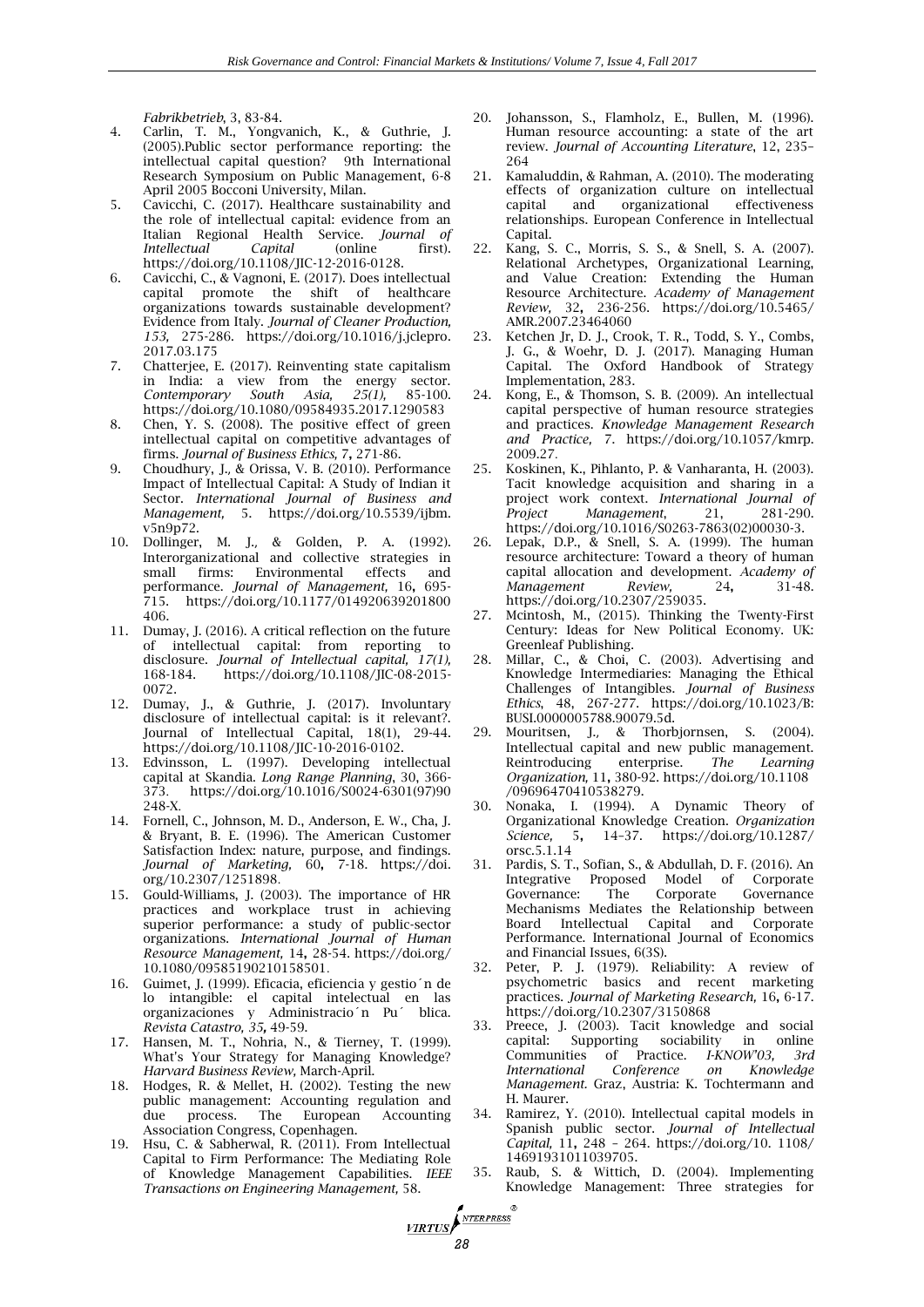*Fabrikbetrieb*, 3, 83-84.

- 4. Carlin, T. M., Yongvanich, K., & Guthrie, J. (2005).Public sector performance reporting: the intellectual capital question? 9th International Research Symposium on Public Management, 6-8 April 2005 Bocconi University, Milan.
- 5. Cavicchi, C. (2017). Healthcare sustainability and the role of intellectual capital: evidence from an Italian Regional Health Service. *Journal of Intellectual Capital* (online first). [https://doi.org/10.1108/JIC-12-2016-0128.](https://doi.org/10.1108/JIC-12-2016-0128)
- 6. Cavicchi, C., & Vagnoni, E. (2017). Does intellectual capital promote the shift of healthcare organizations towards sustainable development? Evidence from Italy. *Journal of Cleaner Production, 153,* 275-286. [https://doi.org/10.1016/j.jclepro.](https://doi.org/10.1016/j.jclepro)  2017.03.175
- 7. Chatterjee, E. (2017). Reinventing state capitalism in India: a view from the energy sector.<br>Contemporary South Asia, 25(1), 85-100. *Contemporary South Asia,* <https://doi.org/10.1080/09584935.2017.1290583>
- 8. Chen, Y. S. (2008). The positive effect of green intellectual capital on competitive advantages of firms. *Journal of Business Ethics,* 7**,** 271-86.
- 9. Choudhury, J., & Orissa, V. B. (2010). Performance Impact of Intellectual Capital: A Study of Indian it Sector. *International Journal of Business and Management,* 5. [https://doi.org/10.5539/ijbm.](https://doi.org/10.5539/ijbm)  v5n9p72.
- 10. Dollinger, M. J., & Golden, P. A. (1992). Interorganizational and collective strategies in small firms: Environmental effects and performance. *Journal of Management,* 16**,** 695- 715. [https://doi.org/10.1177/014920639201800](https://doi.org/10.1177/014920639201800%20406)  [406.](https://doi.org/10.1177/014920639201800%20406)
- 11. Dumay, J. (2016). A critical reflection on the future of intellectual capital: from reporting to disclosure. *Journal of Intellectual capital, 17(1),*  168-184. [https://doi.org/10.1108/JIC-08-2015-](https://doi.org/10.1108/JIC-08-2015-0072) [0072.](https://doi.org/10.1108/JIC-08-2015-0072)
- 12. Dumay, J., & Guthrie, J. (2017). Involuntary disclosure of intellectual capital: is it relevant?. Journal of Intellectual Capital, 18(1), 29-44. https://doi.org/10.1108/JIC-10-2016-0102.
- 13. Edvinsson, L. (1997). Developing intellectual capital at Skandia. *Long Range Planning*, 30, 366- 373. [https://doi.org/10.1016/S0024-6301\(97\)90](https://doi.org/10.1016/S0024-6301(97)90) 248-X.
- 14. Fornell, C., Johnson, M. D., Anderson, E. W., Cha, J. & Bryant, B. E. (1996). The American Customer Satisfaction Index: nature, purpose, and findings. *Journal of Marketing,* 60**,** 7-18. [https://doi.](https://doi/) org/10.2307/1251898.
- 15. Gould-Williams, J. (2003). The importance of HR practices and workplace trust in achieving superior performance: a study of public-sector organizations. *International Journal of Human Resource Management,* 14**,** 28-54. <https://doi.org/> 10.1080/09585190210158501.
- 16. Guimet, J. (1999). Eficacia, eficiencia y gestio´n de lo intangible: el capital intelectual en las organizaciones y Administracio´n Pu´ blica. *Revista Catastro, 35,* 49-59.
- 17. Hansen, M. T., Nohria, N., & Tierney, T. (1999). What's Your Strategy for Managing Knowledge? *Harvard Business Review,* March-April.
- 18. Hodges, R. & Mellet, H. (2002). Testing the new public management: Accounting regulation and<br>due process. The European Accounting due process. The European Accounting Association Congress, Copenhagen.
- 19. Hsu, C. & Sabherwal, R. (2011). From Intellectual Capital to Firm Performance: The Mediating Role of Knowledge Management Capabilities. *IEEE Transactions on Engineering Management,* 58.

*<u>VIRTUS</u>* 

- Johansson, S., Flamholz, E., Bullen, M. (1996). Human resource accounting: a state of the art review. *Journal of Accounting Literature*, 12, 235– 264
- 21. Kamaluddin, & Rahman, A. (2010). The moderating effects of organization culture on intellectual capital and organizational effectiveness organizational relationships. European Conference in Intellectual Capital.
- 22. Kang, S. C., Morris, S. S., & Snell, S. A. (2007). Relational Archetypes, Organizational Learning, and Value Creation: Extending the Human Resource Architecture. *Academy of Management Review,* 32**,** 236-256. <https://doi.org/10.5465/> AMR.2007.23464060
- 23. Ketchen Jr, D. J., Crook, T. R., Todd, S. Y., Combs, J. G., & Woehr, D. J. (2017). Managing Human Capital. The Oxford Handbook of Strategy Implementation, 283.
- 24. Kong, E., & Thomson, S. B. (2009). An intellectual capital perspective of human resource strategies and practices. *Knowledge Management Research and Practice,* 7. [https://doi.org/10.1057/k](https://doi.org/10.1057/)mrp. 2009.27.
- 25. Koskinen, K., Pihlanto, P. & Vanharanta, H. (2003). Tacit knowledge acquisition and sharing in a project work context. *International Journal of Project Management*, 21, 281-290. [https://doi.org/10.1016/S0263-7863\(02\)00030-3.](https://doi.org/10.1016/S0263-7863(02)00030-3)
- 26. Lepak, D.P., & Snell, S. A. (1999). The human resource architecture: Toward a theory of human capital allocation and development. *Academy of Management Review,* 24**,** 31-48. https://doi.org/10.2307/259035.
- 27. Mcintosh, M., (2015). Thinking the Twenty-First Century: Ideas for New Political Economy. UK: Greenleaf Publishing.
- 28. Millar, C., & Choi, C. (2003). Advertising and Knowledge Intermediaries: Managing the Ethical Challenges of Intangibles. *Journal of Business Ethics*, 48, 267-277. [https://doi.org/10.1023/B:](https://doi.org/10.1023/B)  BUSI.0000005788.90079.5d.
- 29. Mouritsen, J., & Thorbjornsen, S. (2004). Intellectual capital and new public management. Reintroducing enterprise. *The Learning Organization,* 11**,** 380-92. <https://doi.org/10.1108> /09696470410538279.
- 30. Nonaka, I. (1994). A Dynamic Theory of Organizational Knowledge Creation. *Organization Science,* 5**,** 14–37. <https://doi.org/10.1287/> orsc.5.1.14
- 31. Pardis, S. T., Sofian, S., & Abdullah, D. F. (2016). An Integrative Proposed Model of Corporate Governance: Mechanisms Mediates the Relationship between<br>Board Intellectual Capital and Corporate Board Intellectual Capital and Performance. International Journal of Economics and Financial Issues, 6(3S).
- 32. Peter, P. J. (1979). Reliability: A review of psychometric basics and recent marketing practices. *Journal of Marketing Research,* 16**,** 6-17. https://doi.org/10.2307/3150868
- 33. Preece, J. (2003). Tacit knowledge and social capital: Supporting sociability in online<br>Communities of Practice. I-KNOW'03, 3rd of Practice. *I-KNOW'03*, 3rd *International Conference on Knowledge Management.* Graz, Austria: K. Tochtermann and H. Maurer.
- 34. Ramirez, Y. (2010). Intellectual capital models in Spanish public sector. *Journal of Intellectual Capital,* 11**,** 248 – 264. [https://doi.org/10. 1108/](https://doi.org/10.%201108/) 14691931011039705.
- 35. Raub, S. & Wittich, D. (2004). Implementing Knowledge Management: Three strategies for